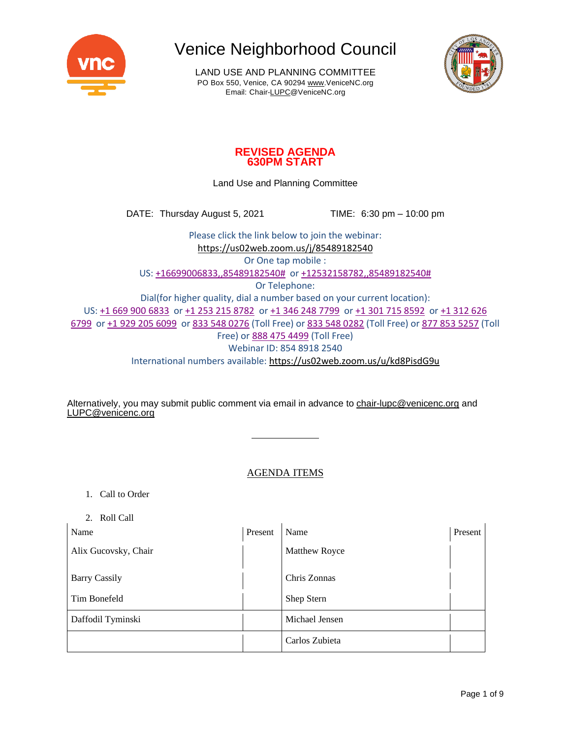

LAND USE AND PLANNING COMMITTEE PO Box 550, Venice, CA 90294 [www.VeniceNC.org](http://www.venicenc.org/) Email: Chai[r-LUPC@VeniceNC.org](mailto:LUPC@VeniceNC.org)



### **REVISED AGENDA 630PM START**

Land Use and Planning Committee

DATE: Thursday August 5, 2021 TIME: 6:30 pm – 10:00 pm

Please click the link below to join the webinar: <https://us02web.zoom.us/j/85489182540> Or One tap mobile : US: +16699006833,,85489182540# or +12532158782,,85489182540# Or Telephone: Dial(for higher quality, dial a number based on your current location): US: +1 669 900 6833 or +1 253 215 8782 or +1 346 248 7799 or +1 301 715 8592 or +1 312 626 6799 or +1 929 205 6099 or 833 548 0276 (Toll Free) or 833 548 0282 (Toll Free) or 877 853 5257 (Toll Free) or 888 475 4499 (Toll Free) Webinar ID: 854 8918 2540 International numbers available: <https://us02web.zoom.us/u/kd8PisdG9u>

Alternatively, you may submit public comment via email in advance to [chair-lupc@venicenc.org](mailto:chair-lupc@venicenc.org) and [LUPC@venicenc.org](mailto:LUPC@venicenc.org)

### AGENDA ITEMS

- 1. Call to Order
- 2. Roll Call

| $-$ 1011 $-$ 0.11<br>Name | Present | Name                 | Present |
|---------------------------|---------|----------------------|---------|
| Alix Gucovsky, Chair      |         | <b>Matthew Royce</b> |         |
| <b>Barry Cassily</b>      |         | Chris Zonnas         |         |
| Tim Bonefeld              |         | Shep Stern           |         |
| Daffodil Tyminski         |         | Michael Jensen       |         |
|                           |         | Carlos Zubieta       |         |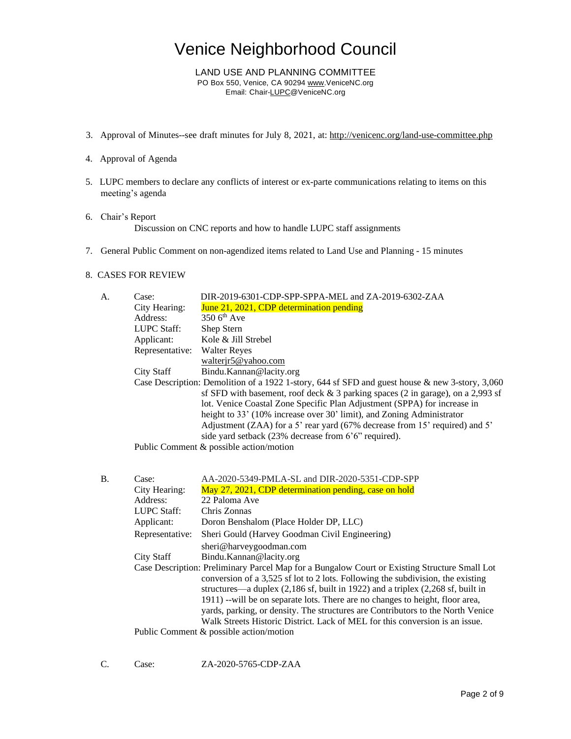LAND USE AND PLANNING COMMITTEE PO Box 550, Venice, CA 90294 [www.VeniceNC.org](http://www.venicenc.org/) Email: Chai[r-LUPC@VeniceNC.org](mailto:LUPC@VeniceNC.org)

- 3. Approval of Minutes--see draft minutes for July 8, 2021, at: <http://venicenc.org/land-use-committee.php>
- 4. Approval of Agenda
- 5. LUPC members to declare any conflicts of interest or ex-parte communications relating to items on this meeting's agenda
- 6. Chair's Report Discussion on CNC reports and how to handle LUPC staff assignments
- 7. General Public Comment on non-agendized items related to Land Use and Planning 15 minutes

#### 8. CASES FOR REVIEW

| A. | Case:           | DIR-2019-6301-CDP-SPP-SPPA-MEL and ZA-2019-6302-ZAA                                             |
|----|-----------------|-------------------------------------------------------------------------------------------------|
|    | City Hearing:   | June 21, 2021, CDP determination pending                                                        |
|    | Address:        | $3506^{\text{th}}$ Ave                                                                          |
|    | LUPC Staff:     | Shep Stern                                                                                      |
|    | Applicant:      | Kole & Jill Strebel                                                                             |
|    | Representative: | <b>Walter Reyes</b>                                                                             |
|    |                 | walterir5@yahoo.com                                                                             |
|    | City Staff      | Bindu.Kannan@lacity.org                                                                         |
|    |                 | Case Description: Demolition of a 1922 1-story, 644 sf SFD and guest house & new 3-story, 3,060 |
|    |                 | sf SFD with basement, roof deck $&3$ parking spaces (2 in garage), on a 2,993 sf                |
|    |                 | lot. Venice Coastal Zone Specific Plan Adjustment (SPPA) for increase in                        |
|    |                 | height to 33' (10% increase over 30' limit), and Zoning Administrator                           |
|    |                 | Adjustment (ZAA) for a 5' rear yard (67% decrease from 15' required) and 5'                     |
|    |                 | side yard setback (23% decrease from 6'6" required).                                            |
|    |                 | Public Comment & possible action/motion                                                         |

| Β. | Case:           | AA-2020-5349-PMLA-SL and DIR-2020-5351-CDP-SPP                                                                                                                                                                                                                                                                                                                                                                                                                                                                          |
|----|-----------------|-------------------------------------------------------------------------------------------------------------------------------------------------------------------------------------------------------------------------------------------------------------------------------------------------------------------------------------------------------------------------------------------------------------------------------------------------------------------------------------------------------------------------|
|    | City Hearing:   | May 27, 2021, CDP determination pending, case on hold                                                                                                                                                                                                                                                                                                                                                                                                                                                                   |
|    | Address:        | 22 Paloma Ave                                                                                                                                                                                                                                                                                                                                                                                                                                                                                                           |
|    | LUPC Staff:     | Chris Zonnas                                                                                                                                                                                                                                                                                                                                                                                                                                                                                                            |
|    | Applicant:      | Doron Benshalom (Place Holder DP, LLC)                                                                                                                                                                                                                                                                                                                                                                                                                                                                                  |
|    | Representative: | Sheri Gould (Harvey Goodman Civil Engineering)                                                                                                                                                                                                                                                                                                                                                                                                                                                                          |
|    |                 | sheri@harveygoodman.com                                                                                                                                                                                                                                                                                                                                                                                                                                                                                                 |
|    | City Staff      | Bindu.Kannan@lacity.org                                                                                                                                                                                                                                                                                                                                                                                                                                                                                                 |
|    |                 | Case Description: Preliminary Parcel Map for a Bungalow Court or Existing Structure Small Lot<br>conversion of a 3,525 sf lot to 2 lots. Following the subdivision, the existing<br>structures—a duplex (2,186 sf, built in 1922) and a triplex (2,268 sf, built in<br>1911) --will be on separate lots. There are no changes to height, floor area,<br>yards, parking, or density. The structures are Contributors to the North Venice<br>Walk Streets Historic District. Lack of MEL for this conversion is an issue. |
|    |                 | Public Comment $\&$ possible action/motion                                                                                                                                                                                                                                                                                                                                                                                                                                                                              |

C. Case: ZA-2020-5765-CDP-ZAA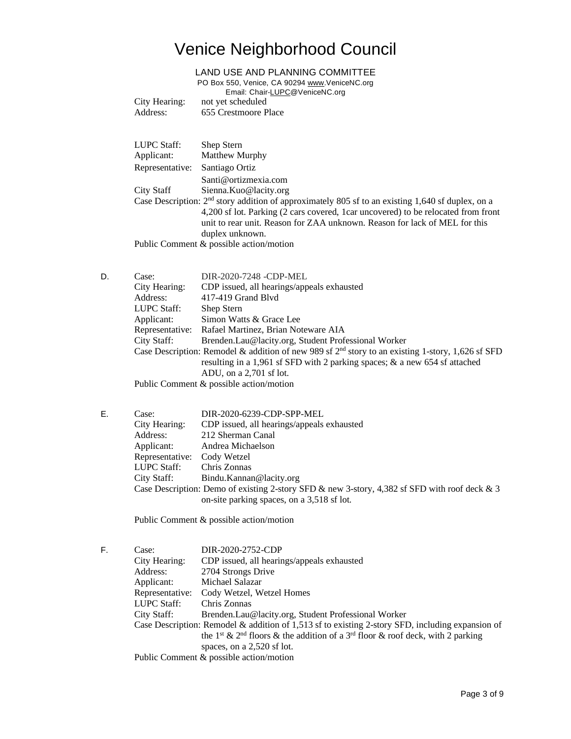#### LAND USE AND PLANNING COMMITTEE

PO Box 550, Venice, CA 90294 [www.VeniceNC.org](http://www.venicenc.org/)

|                                                                                                     | City Hearing:   | Email: Chair-LUPC@VeniceNC.org<br>not yet scheduled                                |
|-----------------------------------------------------------------------------------------------------|-----------------|------------------------------------------------------------------------------------|
|                                                                                                     | Address:        | 655 Crestmoore Place                                                               |
|                                                                                                     |                 |                                                                                    |
|                                                                                                     | LUPC Staff:     | Shep Stern                                                                         |
|                                                                                                     | Applicant:      | Matthew Murphy                                                                     |
|                                                                                                     | Representative: | Santiago Ortiz                                                                     |
|                                                                                                     |                 | Santi@ortizmexia.com                                                               |
|                                                                                                     | City Staff      | Sienna.Kuo@lacity.org                                                              |
| Case Description: $2nd$ story addition of approximately 805 sf to an existing 1,640 sf duplex, on a |                 |                                                                                    |
|                                                                                                     |                 | 4,200 sf lot. Parking (2 cars covered, 1 car uncovered) to be relocated from front |
|                                                                                                     |                 | unit to rear unit. Reason for ZAA unknown. Reason for lack of MEL for this         |
|                                                                                                     |                 | duplex unknown.                                                                    |
| Public Comment $\&$ possible action/motion                                                          |                 |                                                                                    |
|                                                                                                     |                 |                                                                                    |
|                                                                                                     |                 |                                                                                    |

- D. Case: DIR-2020-7248 -CDP-MEL City Hearing: CDP issued, all hearings/appeals exhausted Address: 417-419 Grand Blvd LUPC Staff: Shep Stern Applicant: Simon Watts & Grace Lee Representative: Rafael Martinez, Brian Noteware AIA City Staff: Brenden.Lau@lacity.org, Student Professional Worker Case Description: Remodel & addition of new 989 sf  $2<sup>nd</sup>$  story to an existing 1-story, 1,626 sf SFD resulting in a 1,961 sf SFD with 2 parking spaces; & a new 654 sf attached ADU, on a 2,701 sf lot. Public Comment & possible action/motion
- E. Case: DIR-2020-6239-CDP-SPP-MEL City Hearing: CDP issued, all hearings/appeals exhausted Address: 212 Sherman Canal Applicant: Andrea Michaelson Representative: Cody Wetzel LUPC Staff: Chris Zonnas City Staff: Bindu.Kannan@lacity.org Case Description: Demo of existing 2-story SFD & new 3-story, 4,382 sf SFD with roof deck & 3 on-site parking spaces, on a 3,518 sf lot.

Public Comment & possible action/motion

F. Case: DIR-2020-2752-CDP City Hearing: CDP issued, all hearings/appeals exhausted Address: 2704 Strongs Drive Applicant: Michael Salazar Representative: Cody Wetzel, Wetzel Homes LUPC Staff: Chris Zonnas City Staff: Brenden.Lau@lacity.org, Student Professional Worker Case Description: Remodel & addition of 1,513 sf to existing 2-story SFD, including expansion of the 1<sup>st</sup> & 2<sup>nd</sup> floors & the addition of a 3<sup>rd</sup> floor & roof deck, with 2 parking spaces, on a 2,520 sf lot. Public Comment & possible action/motion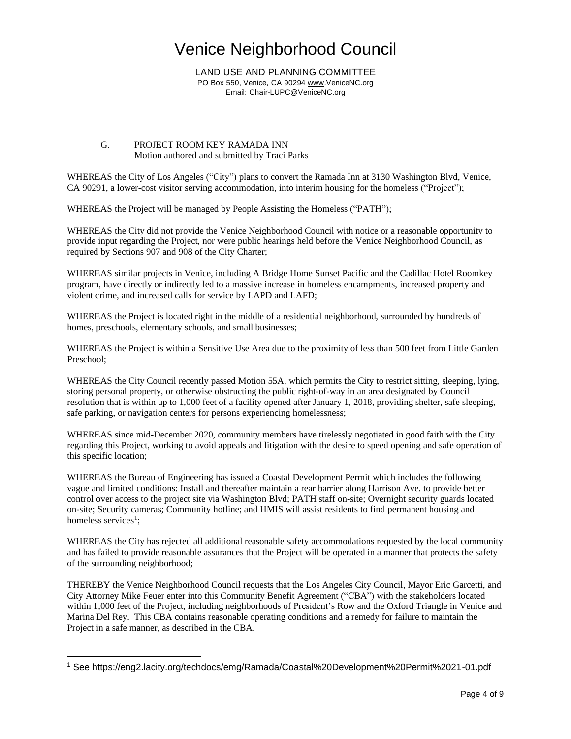LAND USE AND PLANNING COMMITTEE PO Box 550, Venice, CA 90294 [www.VeniceNC.org](http://www.venicenc.org/) Email: Chai[r-LUPC@VeniceNC.org](mailto:LUPC@VeniceNC.org)

#### G. PROJECT ROOM KEY RAMADA INN Motion authored and submitted by Traci Parks

WHEREAS the City of Los Angeles ("City") plans to convert the Ramada Inn at 3130 Washington Blvd, Venice, CA 90291, a lower-cost visitor serving accommodation, into interim housing for the homeless ("Project");

WHEREAS the Project will be managed by People Assisting the Homeless ("PATH");

WHEREAS the City did not provide the Venice Neighborhood Council with notice or a reasonable opportunity to provide input regarding the Project, nor were public hearings held before the Venice Neighborhood Council, as required by Sections 907 and 908 of the City Charter;

WHEREAS similar projects in Venice, including A Bridge Home Sunset Pacific and the Cadillac Hotel Roomkey program, have directly or indirectly led to a massive increase in homeless encampments, increased property and violent crime, and increased calls for service by LAPD and LAFD;

WHEREAS the Project is located right in the middle of a residential neighborhood, surrounded by hundreds of homes, preschools, elementary schools, and small businesses;

WHEREAS the Project is within a Sensitive Use Area due to the proximity of less than 500 feet from Little Garden Preschool;

WHEREAS the City Council recently passed Motion 55A, which permits the City to restrict sitting, sleeping, lying, storing personal property, or otherwise obstructing the public right-of-way in an area designated by Council resolution that is within up to 1,000 feet of a facility opened after January 1, 2018, providing shelter, safe sleeping, safe parking, or navigation centers for persons experiencing homelessness;

WHEREAS since mid-December 2020, community members have tirelessly negotiated in good faith with the City regarding this Project, working to avoid appeals and litigation with the desire to speed opening and safe operation of this specific location;

WHEREAS the Bureau of Engineering has issued a Coastal Development Permit which includes the following vague and limited conditions: Install and thereafter maintain a rear barrier along Harrison Ave. to provide better control over access to the project site via Washington Blvd; PATH staff on-site; Overnight security guards located on-site; Security cameras; Community hotline; and HMIS will assist residents to find permanent housing and homeless services<sup>1</sup>;

WHEREAS the City has rejected all additional reasonable safety accommodations requested by the local community and has failed to provide reasonable assurances that the Project will be operated in a manner that protects the safety of the surrounding neighborhood;

THEREBY the Venice Neighborhood Council requests that the Los Angeles City Council, Mayor Eric Garcetti, and City Attorney Mike Feuer enter into this Community Benefit Agreement ("CBA") with the stakeholders located within 1,000 feet of the Project, including neighborhoods of President's Row and the Oxford Triangle in Venice and Marina Del Rey. This CBA contains reasonable operating conditions and a remedy for failure to maintain the Project in a safe manner, as described in the CBA.

<sup>1</sup> See https://eng2.lacity.org/techdocs/emg/Ramada/Coastal%20Development%20Permit%2021-01.pdf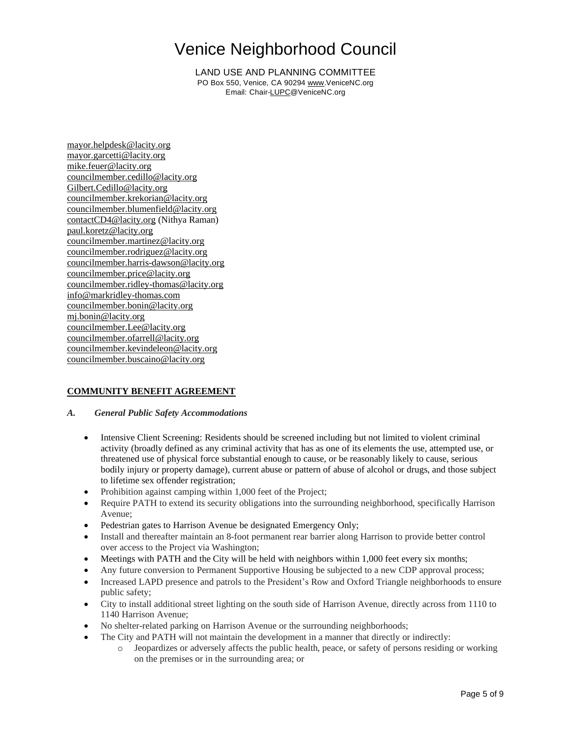LAND USE AND PLANNING COMMITTEE PO Box 550, Venice, CA 90294 [www.VeniceNC.org](http://www.venicenc.org/) Email: Chai[r-LUPC@VeniceNC.org](mailto:LUPC@VeniceNC.org)

[mayor.helpdesk@lacity.org](mailto:mayor.helpdesk@lacity.org) [mayor.garcetti@lacity.org](mailto:mayor.garcetti@lacity.org) [mike.feuer@lacity.org](mailto:mike.feuer@lacity.org) [councilmember.cedillo@lacity.org](mailto:councilmember.cedillo@lacity.org) [Gilbert.Cedillo@lacity.org](mailto:Gilbert.Cedillo@lacity.org) [councilmember.krekorian@lacity.org](mailto:councilmember.krekorian@lacity.org) [councilmember.blumenfield@lacity.org](mailto:councilmember.blumenfield@lacity.org) [contactCD4@lacity.org](mailto:contactCD4@lacity.org) (Nithya Raman) [paul.koretz@lacity.org](mailto:paul.koretz@lacity.org) [councilmember.martinez@lacity.org](mailto:councilmember.martinez@lacity.org) [councilmember.rodriguez@lacity.org](mailto:councilmember.rodriguez@lacity.org) [councilmember.harris-dawson@lacity.org](mailto:councilmember.harris-dawson@lacity.org) [councilmember.price@lacity.org](mailto:councilmember.price@lacity.org) [councilmember.ridley-thomas@lacity.org](mailto:councilmember.ridley-thomas@lacity.org) [info@markridley-thomas.com](mailto:info@markridley-thomas.com) [councilmember.bonin@lacity.org](mailto:councilmember.bonin@lacity.org) [mj.bonin@lacity.org](mailto:mj.bonin@lacity.org) [councilmember.Lee@lacity.org](mailto:councilmember.Lee@lacity.org) [councilmember.ofarrell@lacity.org](mailto:councilmember.ofarrell@lacity.org) [councilmember.kevindeleon@lacity.org](mailto:councilmember.kevindeleon@lacity.org) [councilmember.buscaino@lacity.org](mailto:councilmember.buscaino@lacity.org)

#### **COMMUNITY BENEFIT AGREEMENT**

#### *A. General Public Safety Accommodations*

- Intensive Client Screening: Residents should be screened including but not limited to violent criminal activity (broadly defined as any criminal activity that has as one of its elements the use, attempted use, or threatened use of physical force substantial enough to cause, or be reasonably likely to cause, serious bodily injury or property damage), current abuse or pattern of abuse of alcohol or drugs, and those subject to lifetime sex offender registration;
- Prohibition against camping within 1,000 feet of the Project;
- Require PATH to extend its security obligations into the surrounding neighborhood, specifically Harrison Avenue;
- Pedestrian gates to Harrison Avenue be designated Emergency Only;
- Install and thereafter maintain an 8-foot permanent rear barrier along Harrison to provide better control over access to the Project via Washington;
- Meetings with PATH and the City will be held with neighbors within 1,000 feet every six months;
- Any future conversion to Permanent Supportive Housing be subjected to a new CDP approval process;
- Increased LAPD presence and patrols to the President's Row and Oxford Triangle neighborhoods to ensure public safety;
- City to install additional street lighting on the south side of Harrison Avenue, directly across from 1110 to 1140 Harrison Avenue;
- No shelter-related parking on Harrison Avenue or the surrounding neighborhoods;
- The City and PATH will not maintain the development in a manner that directly or indirectly:
	- o Jeopardizes or adversely affects the public health, peace, or safety of persons residing or working on the premises or in the surrounding area; or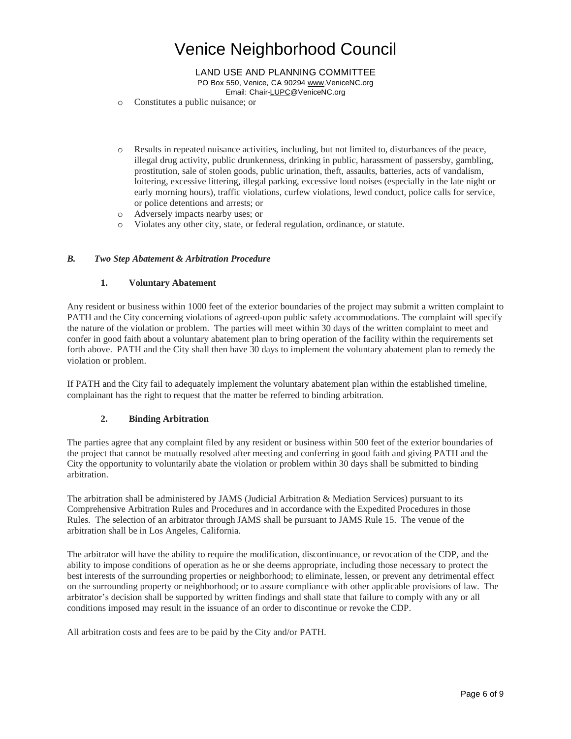LAND USE AND PLANNING COMMITTEE PO Box 550, Venice, CA 90294 [www.VeniceNC.org](http://www.venicenc.org/) Email: Chai[r-LUPC@VeniceNC.org](mailto:LUPC@VeniceNC.org)

- o Constitutes a public nuisance; or
- o Results in repeated nuisance activities, including, but not limited to, disturbances of the peace, illegal drug activity, public drunkenness, drinking in public, harassment of passersby, gambling, prostitution, sale of stolen goods, public urination, theft, assaults, batteries, acts of vandalism, loitering, excessive littering, illegal parking, excessive loud noises (especially in the late night or early morning hours), traffic violations, curfew violations, lewd conduct, police calls for service, or police detentions and arrests; or
- o Adversely impacts nearby uses; or
- o Violates any other city, state, or federal regulation, ordinance, or statute.

#### *B. Two Step Abatement & Arbitration Procedure*

#### **1. Voluntary Abatement**

Any resident or business within 1000 feet of the exterior boundaries of the project may submit a written complaint to PATH and the City concerning violations of agreed-upon public safety accommodations. The complaint will specify the nature of the violation or problem. The parties will meet within 30 days of the written complaint to meet and confer in good faith about a voluntary abatement plan to bring operation of the facility within the requirements set forth above. PATH and the City shall then have 30 days to implement the voluntary abatement plan to remedy the violation or problem.

If PATH and the City fail to adequately implement the voluntary abatement plan within the established timeline, complainant has the right to request that the matter be referred to binding arbitration.

#### **2. Binding Arbitration**

The parties agree that any complaint filed by any resident or business within 500 feet of the exterior boundaries of the project that cannot be mutually resolved after meeting and conferring in good faith and giving PATH and the City the opportunity to voluntarily abate the violation or problem within 30 days shall be submitted to binding arbitration.

The arbitration shall be administered by JAMS (Judicial Arbitration & Mediation Services) pursuant to its Comprehensive Arbitration Rules and Procedures and in accordance with the Expedited Procedures in those Rules. The selection of an arbitrator through JAMS shall be pursuant to JAMS Rule 15. The venue of the arbitration shall be in Los Angeles, California.

The arbitrator will have the ability to require the modification, discontinuance, or revocation of the CDP, and the ability to impose conditions of operation as he or she deems appropriate, including those necessary to protect the best interests of the surrounding properties or neighborhood; to eliminate, lessen, or prevent any detrimental effect on the surrounding property or neighborhood; or to assure compliance with other applicable provisions of law. The arbitrator's decision shall be supported by written findings and shall state that failure to comply with any or all conditions imposed may result in the issuance of an order to discontinue or revoke the CDP.

All arbitration costs and fees are to be paid by the City and/or PATH.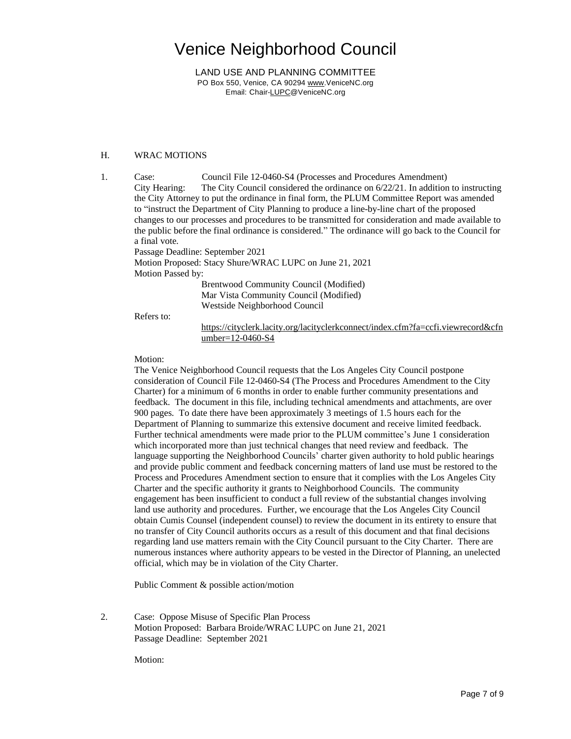LAND USE AND PLANNING COMMITTEE PO Box 550, Venice, CA 90294 [www.VeniceNC.org](http://www.venicenc.org/) Email: Chai[r-LUPC@VeniceNC.org](mailto:LUPC@VeniceNC.org)

#### H. WRAC MOTIONS

1. Case: Council File 12-0460-S4 (Processes and Procedures Amendment) City Hearing: The City Council considered the ordinance on 6/22/21. In addition to instructing the City Attorney to put the ordinance in final form, the PLUM Committee Report was amended to "instruct the Department of City Planning to produce a line-by-line chart of the proposed changes to our processes and procedures to be transmitted for consideration and made available to the public before the final ordinance is considered." The ordinance will go back to the Council for a final vote.

Passage Deadline: September 2021

Motion Proposed: Stacy Shure/WRAC LUPC on June 21, 2021 Motion Passed by:

> Brentwood Community Council (Modified) Mar Vista Community Council (Modified) Westside Neighborhood Council

Refers to:

[https://cityclerk.lacity.org/lacityclerkconnect/index.cfm?fa=ccfi.viewrecord&cfn](https://cityclerk.lacity.org/lacityclerkconnect/index.cfm?fa=ccfi.viewrecord&cfnumber=12-0460-S4) [umber=12-0460-S4](https://cityclerk.lacity.org/lacityclerkconnect/index.cfm?fa=ccfi.viewrecord&cfnumber=12-0460-S4)

Motion:

The Venice Neighborhood Council requests that the Los Angeles City Council postpone consideration of Council File 12-0460-S4 (The Process and Procedures Amendment to the City Charter) for a minimum of 6 months in order to enable further community presentations and feedback. The document in this file, including technical amendments and attachments, are over 900 pages. To date there have been approximately 3 meetings of 1.5 hours each for the Department of Planning to summarize this extensive document and receive limited feedback. Further technical amendments were made prior to the PLUM committee's June 1 consideration which incorporated more than just technical changes that need review and feedback. The language supporting the Neighborhood Councils' charter given authority to hold public hearings and provide public comment and feedback concerning matters of land use must be restored to the Process and Procedures Amendment section to ensure that it complies with the Los Angeles City Charter and the specific authority it grants to Neighborhood Councils. The community engagement has been insufficient to conduct a full review of the substantial changes involving land use authority and procedures. Further, we encourage that the Los Angeles City Council obtain Cumis Counsel (independent counsel) to review the document in its entirety to ensure that no transfer of City Council authorits occurs as a result of this document and that final decisions regarding land use matters remain with the City Council pursuant to the City Charter. There are numerous instances where authority appears to be vested in the Director of Planning, an unelected official, which may be in violation of the City Charter.

Public Comment & possible action/motion

2. Case: Oppose Misuse of Specific Plan Process Motion Proposed: Barbara Broide/WRAC LUPC on June 21, 2021 Passage Deadline: September 2021

Motion: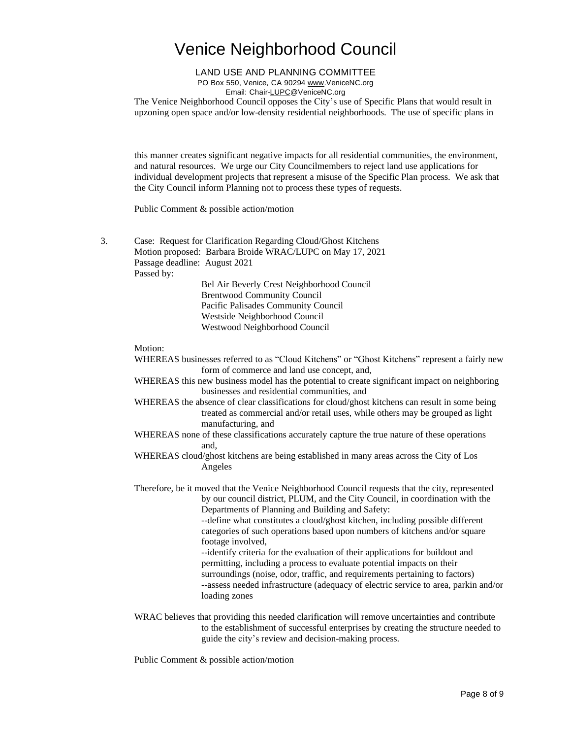#### LAND USE AND PLANNING COMMITTEE

PO Box 550, Venice, CA 90294 [www.VeniceNC.org](http://www.venicenc.org/)

Email: Chai[r-LUPC@VeniceNC.org](mailto:LUPC@VeniceNC.org)

The Venice Neighborhood Council opposes the City's use of Specific Plans that would result in upzoning open space and/or low-density residential neighborhoods. The use of specific plans in

this manner creates significant negative impacts for all residential communities, the environment, and natural resources. We urge our City Councilmembers to reject land use applications for individual development projects that represent a misuse of the Specific Plan process. We ask that the City Council inform Planning not to process these types of requests.

Public Comment & possible action/motion

3. Case: Request for Clarification Regarding Cloud/Ghost Kitchens Motion proposed: Barbara Broide WRAC/LUPC on May 17, 2021 Passage deadline: August 2021 Passed by: Bel Air Beverly Crest Neighborhood Council

Brentwood Community Council Pacific Palisades Community Council Westside Neighborhood Council Westwood Neighborhood Council

Motion:

- WHEREAS businesses referred to as "Cloud Kitchens" or "Ghost Kitchens" represent a fairly new form of commerce and land use concept, and,
- WHEREAS this new business model has the potential to create significant impact on neighboring businesses and residential communities, and
- WHEREAS the absence of clear classifications for cloud/ghost kitchens can result in some being treated as commercial and/or retail uses, while others may be grouped as light manufacturing, and
- WHEREAS none of these classifications accurately capture the true nature of these operations and,
- WHEREAS cloud/ghost kitchens are being established in many areas across the City of Los Angeles
- Therefore, be it moved that the Venice Neighborhood Council requests that the city, represented by our council district, PLUM, and the City Council, in coordination with the Departments of Planning and Building and Safety:

--define what constitutes a cloud/ghost kitchen, including possible different categories of such operations based upon numbers of kitchens and/or square footage involved,

--identify criteria for the evaluation of their applications for buildout and permitting, including a process to evaluate potential impacts on their surroundings (noise, odor, traffic, and requirements pertaining to factors) --assess needed infrastructure (adequacy of electric service to area, parkin and/or loading zones

WRAC believes that providing this needed clarification will remove uncertainties and contribute to the establishment of successful enterprises by creating the structure needed to guide the city's review and decision-making process.

Public Comment & possible action/motion